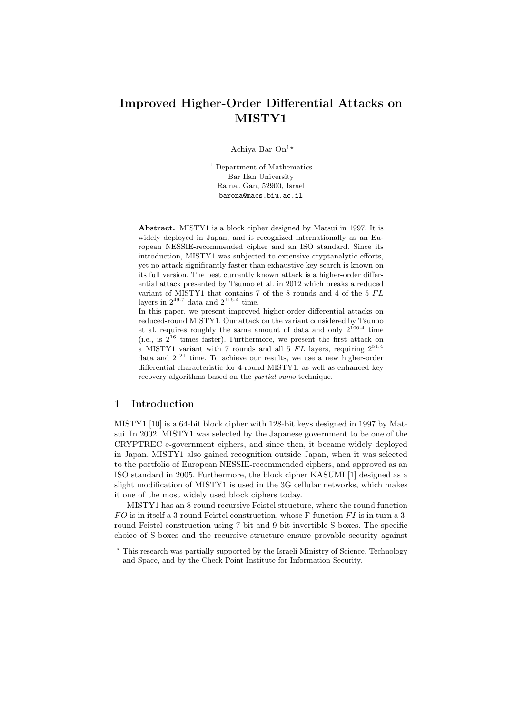# Improved Higher-Order Differential Attacks on MISTY1

Achiya Bar On<sup>1\*</sup>

<sup>1</sup> Department of Mathematics Bar Ilan University Ramat Gan, 52900, Israel barona@macs.biu.ac.il

Abstract. MISTY1 is a block cipher designed by Matsui in 1997. It is widely deployed in Japan, and is recognized internationally as an European NESSIE-recommended cipher and an ISO standard. Since its introduction, MISTY1 was subjected to extensive cryptanalytic efforts, yet no attack significantly faster than exhaustive key search is known on its full version. The best currently known attack is a higher-order differential attack presented by Tsunoo et al. in 2012 which breaks a reduced variant of MISTY1 that contains  $7$  of the  $8$  rounds and  $4$  of the  $5$   $FL$ layers in  $2^{49.7}$  data and  $2^{116.4}$  time.

In this paper, we present improved higher-order differential attacks on reduced-round MISTY1. Our attack on the variant considered by Tsunoo et al. requires roughly the same amount of data and only  $2^{100.4}$  time (i.e., is  $2^{16}$  times faster). Furthermore, we present the first attack on a MISTY1 variant with 7 rounds and all  $5$  FL layers, requiring  $2^{51.4}$ data and  $2^{121}$  time. To achieve our results, we use a new higher-order differential characteristic for 4-round MISTY1, as well as enhanced key recovery algorithms based on the partial sums technique.

# 1 Introduction

MISTY1 [10] is a 64-bit block cipher with 128-bit keys designed in 1997 by Matsui. In 2002, MISTY1 was selected by the Japanese government to be one of the CRYPTREC e-government ciphers, and since then, it became widely deployed in Japan. MISTY1 also gained recognition outside Japan, when it was selected to the portfolio of European NESSIE-recommended ciphers, and approved as an ISO standard in 2005. Furthermore, the block cipher KASUMI [1] designed as a slight modification of MISTY1 is used in the 3G cellular networks, which makes it one of the most widely used block ciphers today.

MISTY1 has an 8-round recursive Feistel structure, where the round function  $FO$  is in itself a 3-round Feistel construction, whose F-function  $FI$  is in turn a 3round Feistel construction using 7-bit and 9-bit invertible S-boxes. The specific choice of S-boxes and the recursive structure ensure provable security against

<sup>?</sup> This research was partially supported by the Israeli Ministry of Science, Technology and Space, and by the Check Point Institute for Information Security.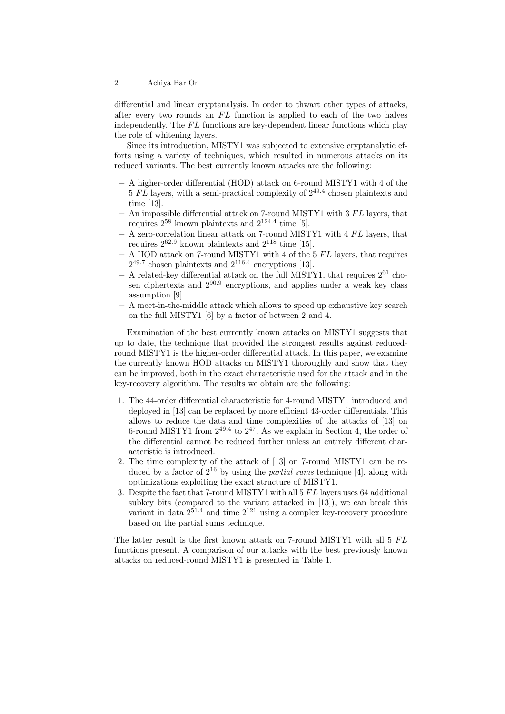differential and linear cryptanalysis. In order to thwart other types of attacks, after every two rounds an  $FL$  function is applied to each of the two halves independently. The  $FL$  functions are key-dependent linear functions which play the role of whitening layers.

Since its introduction, MISTY1 was subjected to extensive cryptanalytic efforts using a variety of techniques, which resulted in numerous attacks on its reduced variants. The best currently known attacks are the following:

- A higher-order differential (HOD) attack on 6-round MISTY1 with 4 of the  $5$  FL layers, with a semi-practical complexity of  $2^{49.4}$  chosen plaintexts and time [13].
- An impossible differential attack on 7-round MISTY1 with  $3 FL$  layers, that requires  $2^{58}$  known plaintexts and  $2^{124.4}$  time [5].
- $-$  A zero-correlation linear attack on 7-round MISTY1 with 4  $FL$  layers, that requires  $2^{62.9}$  known plaintexts and  $2^{118}$  time [15].
- $-$  A HOD attack on 7-round MISTY1 with 4 of the 5  $FL$  layers, that requires  $2^{49.7}$  chosen plaintexts and  $2^{116.4}$  encryptions [13].
- A related-key differential attack on the full MISTY1, that requires  $2^{61}$  chosen ciphertexts and  $2^{90.9}$  encryptions, and applies under a weak key class assumption [9].
- A meet-in-the-middle attack which allows to speed up exhaustive key search on the full MISTY1 [6] by a factor of between 2 and 4.

Examination of the best currently known attacks on MISTY1 suggests that up to date, the technique that provided the strongest results against reducedround MISTY1 is the higher-order differential attack. In this paper, we examine the currently known HOD attacks on MISTY1 thoroughly and show that they can be improved, both in the exact characteristic used for the attack and in the key-recovery algorithm. The results we obtain are the following:

- 1. The 44-order differential characteristic for 4-round MISTY1 introduced and deployed in [13] can be replaced by more efficient 43-order differentials. This allows to reduce the data and time complexities of the attacks of [13] on 6-round MISTY1 from  $2^{49.4}$  to  $2^{47}$ . As we explain in Section 4, the order of the differential cannot be reduced further unless an entirely different characteristic is introduced.
- 2. The time complexity of the attack of [13] on 7-round MISTY1 can be reduced by a factor of  $2^{16}$  by using the *partial sums* technique [4], along with optimizations exploiting the exact structure of MISTY1.
- 3. Despite the fact that 7-round MISTY1 with all  $5 FL$  layers uses 64 additional subkey bits (compared to the variant attacked in [13]), we can break this variant in data  $2^{51.4}$  and time  $2^{121}$  using a complex key-recovery procedure based on the partial sums technique.

The latter result is the first known attack on 7-round MISTY1 with all  $5$   $FL$ functions present. A comparison of our attacks with the best previously known attacks on reduced-round MISTY1 is presented in Table 1.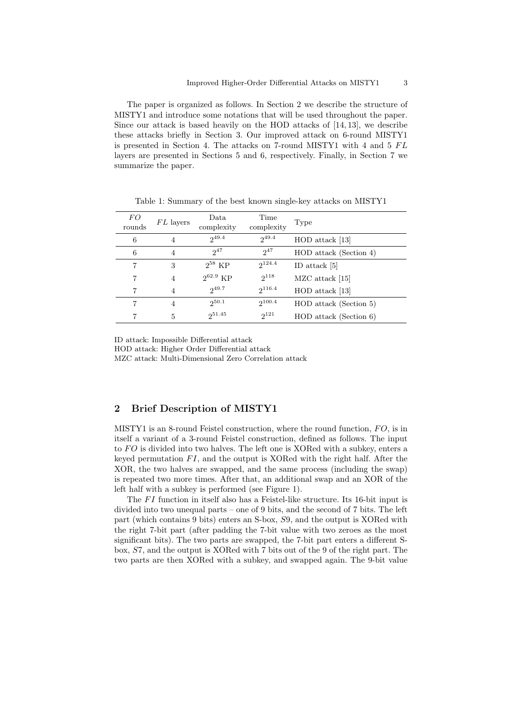The paper is organized as follows. In Section 2 we describe the structure of MISTY1 and introduce some notations that will be used throughout the paper. Since our attack is based heavily on the HOD attacks of [14, 13], we describe these attacks briefly in Section 3. Our improved attack on 6-round MISTY1 is presented in Section 4. The attacks on 7-round MISTY1 with 4 and 5  $FL$ layers are presented in Sections 5 and 6, respectively. Finally, in Section 7 we summarize the paper.

| FO<br>rounds | FL layers | Data<br>complexity | Time<br>complexity | Type                   |
|--------------|-----------|--------------------|--------------------|------------------------|
| 6            | 4         | $2^{49.4}$         | $2^{49.4}$         | $HOD$ attack [13]      |
| 6            | 4         | $2^{47}$           | $2^{47}$           | HOD attack (Section 4) |
| 7            | 3         | $2^{58}$ KP        | $2^{124.4}$        | ID attack $[5]$        |
| 7            | 4         | $2^{62.9}$ KP      | $2^{118}$          | MZC attack [15]        |
|              | 4         | $2^{49.7}$         | $2^{116.4}$        | HOD attack [13]        |
| 7            | 4         | $2^{50.1}$         | $2^{100.4}$        | HOD attack (Section 5) |
|              | 5         | 251.45             | $2^{121}$          | HOD attack (Section 6) |

Table 1: Summary of the best known single-key attacks on MISTY1

ID attack: Impossible Differential attack

HOD attack: Higher Order Differential attack MZC attack: Multi-Dimensional Zero Correlation attack

### 2 Brief Description of MISTY1

MISTY1 is an 8-round Feistel construction, where the round function,  $FO$ , is in itself a variant of a 3-round Feistel construction, defined as follows. The input to  $FO$  is divided into two halves. The left one is XORed with a subkey, enters a keyed permutation  $FI$ , and the output is XORed with the right half. After the XOR, the two halves are swapped, and the same process (including the swap) is repeated two more times. After that, an additional swap and an XOR of the left half with a subkey is performed (see Figure 1).

The  $FI$  function in itself also has a Feistel-like structure. Its 16-bit input is divided into two unequal parts – one of 9 bits, and the second of 7 bits. The left part (which contains 9 bits) enters an S-box, S9, and the output is XORed with the right 7-bit part (after padding the 7-bit value with two zeroes as the most significant bits). The two parts are swapped, the 7-bit part enters a different Sbox, S7, and the output is XORed with 7 bits out of the 9 of the right part. The two parts are then XORed with a subkey, and swapped again. The 9-bit value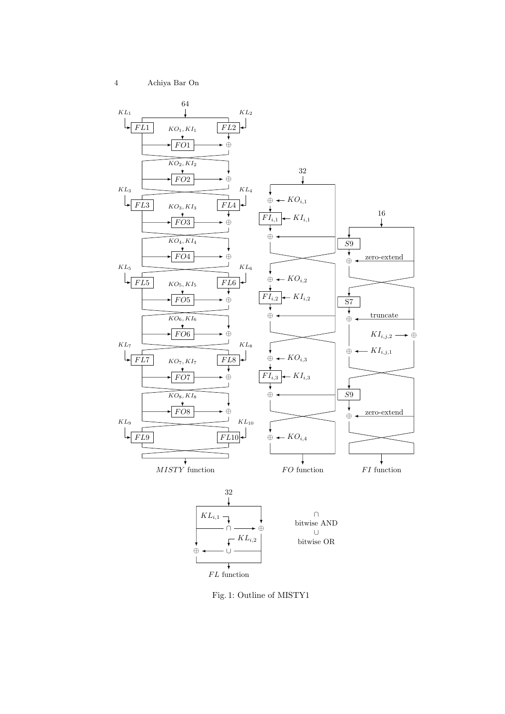

 ${\cal FL}$  function

Fig. 1: Outline of MISTY1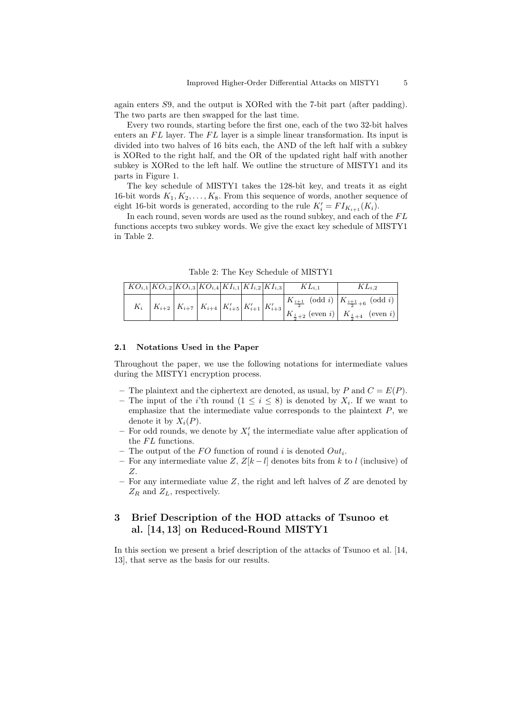again enters S9, and the output is XORed with the 7-bit part (after padding). The two parts are then swapped for the last time.

Every two rounds, starting before the first one, each of the two 32-bit halves enters an  $FL$  layer. The  $FL$  layer is a simple linear transformation. Its input is divided into two halves of 16 bits each, the AND of the left half with a subkey is XORed to the right half, and the OR of the updated right half with another subkey is XORed to the left half. We outline the structure of MISTY1 and its parts in Figure 1.

The key schedule of MISTY1 takes the 128-bit key, and treats it as eight 16-bit words  $K_1, K_2, \ldots, K_8$ . From this sequence of words, another sequence of eight 16-bit words is generated, according to the rule  $K_i' = FI_{K_{i+1}}(K_i)$ .

In each round, seven words are used as the round subkey, and each of the  $FL$ functions accepts two subkey words. We give the exact key schedule of MISTY1 in Table 2.

|  |  |  |  | $\left  K O_{i,1} \right  K O_{i,2} \left  K O_{i,3} \right  K O_{i,4} \left  K I_{i,1} \right  K I_{i,2} \left  K I_{i,3} \right  \qquad K L_{i,1}$ | $KL_{i,2}$                                                                                                                                                                                                                                                                 |
|--|--|--|--|------------------------------------------------------------------------------------------------------------------------------------------------------|----------------------------------------------------------------------------------------------------------------------------------------------------------------------------------------------------------------------------------------------------------------------------|
|  |  |  |  |                                                                                                                                                      | $K_i \left  K_{i+2} \right  K_{i+7} \left  K_{i+4} \right  K'_{i+5} \left  K'_{i+1} \right  K'_{i+3} \left  K'_{i+3} \right  \frac{K_{\frac{i+1}{2}}}{K_{\frac{i}{2}+2}^{\frac{1}{2}}} (\text{odd } i) \left  K_{\frac{i+1}{2}+6}^{\frac{1}{2}+6} (\text{odd } i) \right $ |
|  |  |  |  |                                                                                                                                                      |                                                                                                                                                                                                                                                                            |

Table 2: The Key Schedule of MISTY1

#### 2.1 Notations Used in the Paper

Throughout the paper, we use the following notations for intermediate values during the MISTY1 encryption process.

- The plaintext and the ciphertext are denoted, as usual, by P and  $C = E(P)$ .
- The input of the *i*'th round  $(1 \leq i \leq 8)$  is denoted by  $X_i$ . If we want to emphasize that the intermediate value corresponds to the plaintext  $P$ , we denote it by  $X_i(P)$ .
- $-$  For odd rounds, we denote by  $X_i'$  the intermediate value after application of the  $FL$  functions.
- The output of the FO function of round i is denoted  $Out_i$ .
- For any intermediate value Z,  $Z[k-l]$  denotes bits from k to l (inclusive) of Z.
- For any intermediate value  $Z$ , the right and left halves of  $Z$  are denoted by  $Z_R$  and  $Z_L$ , respectively.

### 3 Brief Description of the HOD attacks of Tsunoo et al. [14, 13] on Reduced-Round MISTY1

In this section we present a brief description of the attacks of Tsunoo et al. [14, 13], that serve as the basis for our results.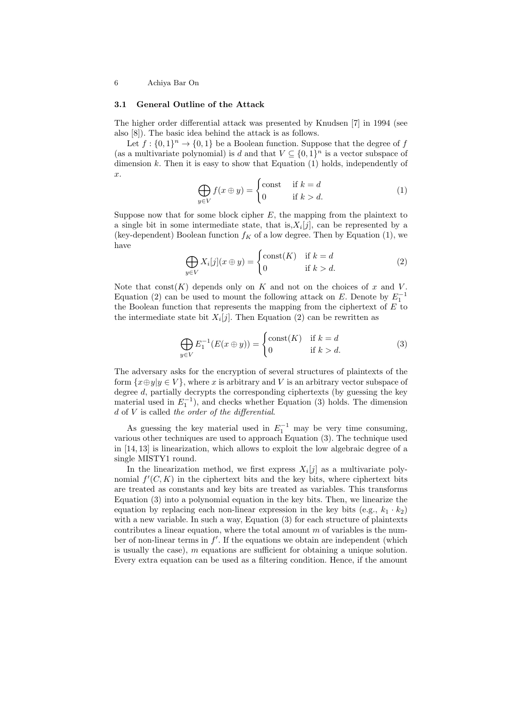#### 3.1 General Outline of the Attack

The higher order differential attack was presented by Knudsen [7] in 1994 (see also [8]). The basic idea behind the attack is as follows.

Let  $f: \{0,1\}^n \rightarrow \{0,1\}$  be a Boolean function. Suppose that the degree of  $f$ (as a multivariate polynomial) is  $d$  and that  $V \subseteq \{0,1\}^n$  is a vector subspace of dimension  $k$ . Then it is easy to show that Equation  $(1)$  holds, independently of  $\hat{x}$ .

$$
\bigoplus_{y \in V} f(x \oplus y) = \begin{cases} \text{const} & \text{if } k = d \\ 0 & \text{if } k > d. \end{cases}
$$
 (1)

Suppose now that for some block cipher  $E$ , the mapping from the plaintext to a single bit in some intermediate state, that is,  $X_i[j]$ , can be represented by a (key-dependent) Boolean function  $f_K$  of a low degree. Then by Equation (1), we have

$$
\bigoplus_{y \in V} X_i[j](x \oplus y) = \begin{cases} \text{const}(K) & \text{if } k = d \\ 0 & \text{if } k > d. \end{cases}
$$
 (2)

Note that  $\text{const}(K)$  depends only on K and not on the choices of x and V. Equation (2) can be used to mount the following attack on E. Denote by  $E_1^{-1}$ the Boolean function that represents the mapping from the ciphertext of  $E$  to the intermediate state bit  $X_i[j]$ . Then Equation (2) can be rewritten as

$$
\bigoplus_{y \in V} E_1^{-1}(E(x \oplus y)) = \begin{cases} \text{const}(K) & \text{if } k = d \\ 0 & \text{if } k > d. \end{cases} \tag{3}
$$

The adversary asks for the encryption of several structures of plaintexts of the form  $\{x \oplus y | y \in V\}$ , where x is arbitrary and V is an arbitrary vector subspace of degree d, partially decrypts the corresponding ciphertexts (by guessing the key material used in  $E_1^{-1}$ ), and checks whether Equation (3) holds. The dimension d of V is called the order of the differential.

As guessing the key material used in  $E_1^{-1}$  may be very time consuming, various other techniques are used to approach Equation (3). The technique used in [14, 13] is linearization, which allows to exploit the low algebraic degree of a single MISTY1 round.

In the linearization method, we first express  $X_i[j]$  as a multivariate polynomial  $f'(C, K)$  in the ciphertext bits and the key bits, where ciphertext bits are treated as constants and key bits are treated as variables. This transforms Equation (3) into a polynomial equation in the key bits. Then, we linearize the equation by replacing each non-linear expression in the key bits (e.g.,  $k_1 \cdot k_2$ ) with a new variable. In such a way, Equation (3) for each structure of plaintexts contributes a linear equation, where the total amount  $m$  of variables is the number of non-linear terms in  $f'$ . If the equations we obtain are independent (which is usually the case), m equations are sufficient for obtaining a unique solution. Every extra equation can be used as a filtering condition. Hence, if the amount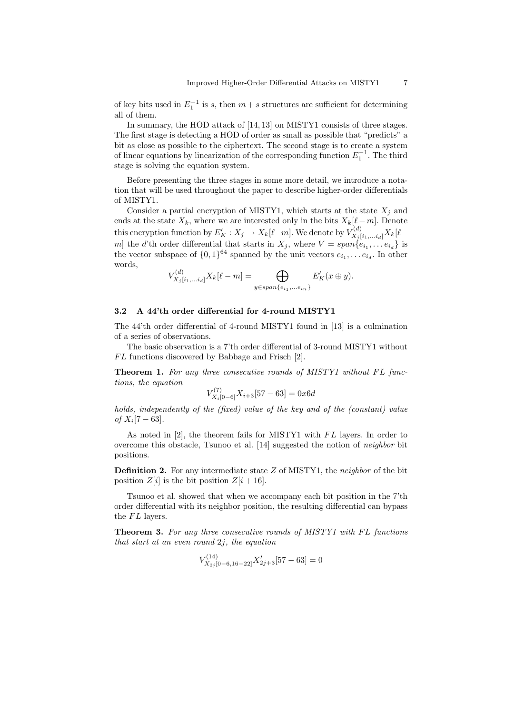of key bits used in  $E_1^{-1}$  is s, then  $m + s$  structures are sufficient for determining all of them.

In summary, the HOD attack of [14, 13] on MISTY1 consists of three stages. The first stage is detecting a HOD of order as small as possible that "predicts" a bit as close as possible to the ciphertext. The second stage is to create a system of linear equations by linearization of the corresponding function  $E_1^{-1}$ . The third stage is solving the equation system.

Before presenting the three stages in some more detail, we introduce a notation that will be used throughout the paper to describe higher-order differentials of MISTY1.

Consider a partial encryption of MISTY1, which starts at the state  $X_i$  and ends at the state  $X_k$ , where we are interested only in the bits  $X_k[\ell - m]$ . Denote this encryption function by  $E'_K: X_j \to X_k[\ell-m]$ . We denote by  $V^{(d)}_{X_j[i_1,...i_d]}X_k[\ell-m]$ m the d'th order differential that starts in  $X_j$ , where  $V = span\{e_{i_1}, \ldots e_{i_d}\}$  is the vector subspace of  $\{0,1\}^{64}$  spanned by the unit vectors  $e_{i_1}, \ldots e_{i_d}$ . In other words,

$$
V_{X_j[i_1,\ldots i_d]}^{(d)} X_k[\ell - m] = \bigoplus_{y \in span\{e_{i_1},\ldots e_{i_n}\}} E_K'(x \oplus y).
$$

#### 3.2 A 44'th order differential for 4-round MISTY1

The 44'th order differential of 4-round MISTY1 found in [13] is a culmination of a series of observations.

The basic observation is a 7'th order differential of 3-round MISTY1 without  $FL$  functions discovered by Babbage and Frisch  $[2]$ .

Theorem 1. For any three consecutive rounds of MISTY1 without FL functions, the equation

$$
V_{X_i[0-6]}^{(7)}X_{i+3}[57-63] = 0x6d
$$

holds, independently of the (fixed) value of the key and of the (constant) value  $of X_i[7-63].$ 

As noted in [2], the theorem fails for MISTY1 with  $FL$  layers. In order to overcome this obstacle, Tsunoo et al. [14] suggested the notion of neighbor bit positions.

**Definition 2.** For any intermediate state  $Z$  of MISTY1, the *neighbor* of the bit position  $Z[i]$  is the bit position  $Z[i+16]$ .

Tsunoo et al. showed that when we accompany each bit position in the 7'th order differential with its neighbor position, the resulting differential can bypass the  $FL$  layers.

**Theorem 3.** For any three consecutive rounds of MISTY1 with FL functions that start at an even round  $2j$ , the equation

$$
V_{X_{2j}[0-6,16-22]}^{(14)}X_{2j+3}'[57-63]=0
$$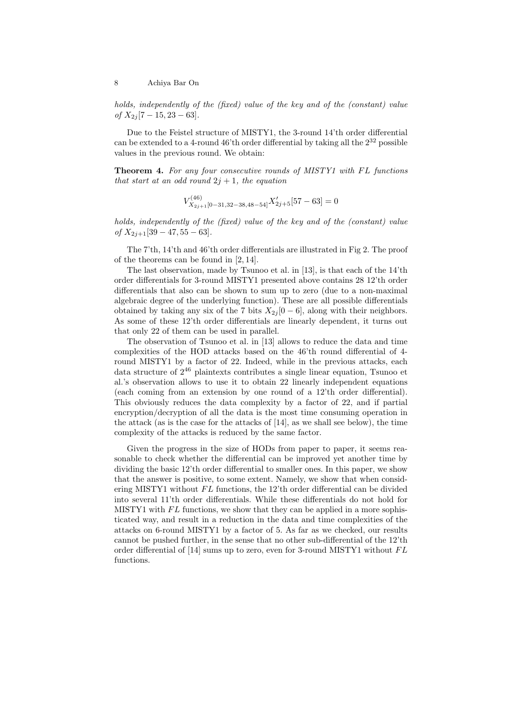holds, independently of the (fixed) value of the key and of the (constant) value  $of X_{2j} [7 - 15, 23 - 63].$ 

Due to the Feistel structure of MISTY1, the 3-round 14'th order differential can be extended to a 4-round 46'th order differential by taking all the  $2^{32}$  possible values in the previous round. We obtain:

**Theorem 4.** For any four consecutive rounds of MISTY1 with FL functions that start at an odd round  $2j + 1$ , the equation

$$
V_{X_{2j+1}[0-31,32-38,48-54]}^{(46)}X_{2j+5}'[57-63]=0
$$

holds, independently of the (fixed) value of the key and of the (constant) value of  $X_{2j+1}[39 - 47, 55 - 63]$ .

The 7'th, 14'th and 46'th order differentials are illustrated in Fig 2. The proof of the theorems can be found in [2, 14].

The last observation, made by Tsunoo et al. in [13], is that each of the 14'th order differentials for 3-round MISTY1 presented above contains 28 12'th order differentials that also can be shown to sum up to zero (due to a non-maximal algebraic degree of the underlying function). These are all possible differentials obtained by taking any six of the 7 bits  $X_{2i}$  [0 – 6], along with their neighbors. As some of these 12'th order differentials are linearly dependent, it turns out that only 22 of them can be used in parallel.

The observation of Tsunoo et al. in [13] allows to reduce the data and time complexities of the HOD attacks based on the 46'th round differential of 4 round MISTY1 by a factor of 22. Indeed, while in the previous attacks, each data structure of  $2^{46}$  plaintexts contributes a single linear equation, Tsunoo et al.'s observation allows to use it to obtain 22 linearly independent equations (each coming from an extension by one round of a 12'th order differential). This obviously reduces the data complexity by a factor of 22, and if partial encryption/decryption of all the data is the most time consuming operation in the attack (as is the case for the attacks of [14], as we shall see below), the time complexity of the attacks is reduced by the same factor.

Given the progress in the size of HODs from paper to paper, it seems reasonable to check whether the differential can be improved yet another time by dividing the basic 12'th order differential to smaller ones. In this paper, we show that the answer is positive, to some extent. Namely, we show that when considering MISTY1 without  $FL$  functions, the 12'th order differential can be divided into several 11'th order differentials. While these differentials do not hold for MISTY1 with  $FL$  functions, we show that they can be applied in a more sophisticated way, and result in a reduction in the data and time complexities of the attacks on 6-round MISTY1 by a factor of 5. As far as we checked, our results cannot be pushed further, in the sense that no other sub-differential of the 12'th order differential of  $[14]$  sums up to zero, even for 3-round MISTY1 without  $FL$ functions.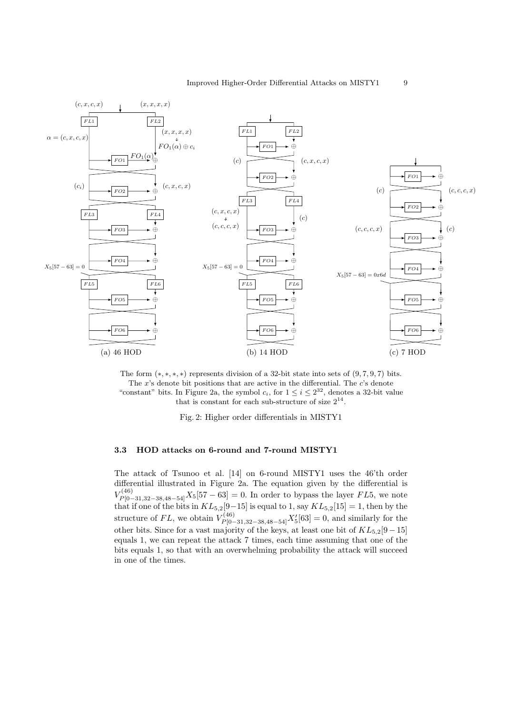

The form  $(*,*,*,*)$  represents division of a 32-bit state into sets of  $(9,7,9,7)$  bits. The  $x$ 's denote bit positions that are active in the differential. The  $c$ 's denote "constant" bits. In Figure 2a, the symbol  $c_i$ , for  $1 \leq i \leq 2^{32}$ , denotes a 32-bit value that is constant for each sub-structure of size  $2^{14}$ .

Fig. 2: Higher order differentials in MISTY1

### 3.3 HOD attacks on 6-round and 7-round MISTY1

The attack of Tsunoo et al. [14] on 6-round MISTY1 uses the 46'th order differential illustrated in Figure 2a. The equation given by the differential is  $V_{P[0-31,32-38,48-54]}^{(46)} X_5[57-63] = 0.$  In order to bypass the layer  $FL5$ , we note that if one of the bits in  $KL_{5,2}[9-15]$  is equal to 1, say  $KL_{5,2}[15] = 1$ , then by the structure of  $FL$ , we obtain  $V_{P[0-31,32-38,48-54]}^{(46)} X_5'[63] = 0$ , and similarly for the other bits. Since for a vast majority of the keys, at least one bit of  $KL_{5,2}[9-15]$ equals 1, we can repeat the attack 7 times, each time assuming that one of the bits equals 1, so that with an overwhelming probability the attack will succeed in one of the times.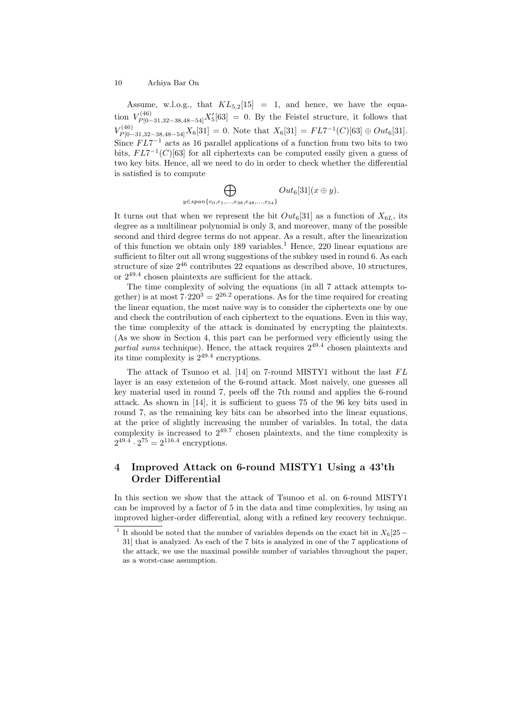Assume, w.l.o.g., that  $KL_{5,2}[15] = 1$ , and hence, we have the equation  $V_{P[0-31,32-38,48-54]}^{(46)}X_5'[63] = 0$ . By the Feistel structure, it follows that  $V_{P[0-31,32-38,48-54]}^{(46)} X_6[31] = 0.$  Note that  $X_6[31] = FL7^{-1}(C)[63] \oplus Out_6[31]$ . Since  $FL7^{-1}$  acts as 16 parallel applications of a function from two bits to two bits,  $FL7^{-1}(C)[63]$  for all ciphertexts can be computed easily given a guess of two key bits. Hence, all we need to do in order to check whether the differential is satisfied is to compute

> $\Delta$  $y \in span\{e_0, e_1, ..., e_{38}, e_{48}, ..., e_{54}\}$  $Out_6[31](x \oplus y).$

It turns out that when we represent the bit  $Out_6[31]$  as a function of  $X_{6L}$ , its degree as a multilinear polynomial is only 3, and moreover, many of the possible second and third degree terms do not appear. As a result, after the linearization of this function we obtain only  $189$  variables.<sup>1</sup> Hence,  $220$  linear equations are sufficient to filter out all wrong suggestions of the subkey used in round 6. As each structure of size  $2^{46}$  contributes 22 equations as described above, 10 structures, or  $2^{49.4}$  chosen plaintexts are sufficient for the attack.

The time complexity of solving the equations (in all 7 attack attempts together) is at most  $7.220^3 = 2^{26.2}$  operations. As for the time required for creating the linear equation, the most naive way is to consider the ciphertexts one by one and check the contribution of each ciphertext to the equations. Even in this way, the time complexity of the attack is dominated by encrypting the plaintexts. (As we show in Section 4, this part can be performed very efficiently using the partial sums technique). Hence, the attack requires  $2^{49.4}$  chosen plaintexts and its time complexity is 2<sup>49</sup>.<sup>4</sup> encryptions.

The attack of Tsunoo et al.  $[14]$  on 7-round MISTY1 without the last  $FL$ layer is an easy extension of the 6-round attack. Most naively, one guesses all key material used in round 7, peels off the 7th round and applies the 6-round attack. As shown in [14], it is sufficient to guess 75 of the 96 key bits used in round 7, as the remaining key bits can be absorbed into the linear equations, at the price of slightly increasing the number of variables. In total, the data complexity is increased to  $2^{49.7}$  chosen plaintexts, and the time complexity is  $2^{49.4} \cdot 2^{75} = 2^{116.4}$  encryptions.

# 4 Improved Attack on 6-round MISTY1 Using a 43'th Order Differential

In this section we show that the attack of Tsunoo et al. on 6-round MISTY1 can be improved by a factor of 5 in the data and time complexities, by using an improved higher-order differential, along with a refined key recovery technique.

<sup>&</sup>lt;sup>1</sup> It should be noted that the number of variables depends on the exact bit in  $X_6[25-$ 31] that is analyzed. As each of the 7 bits is analyzed in one of the 7 applications of the attack, we use the maximal possible number of variables throughout the paper, as a worst-case assumption.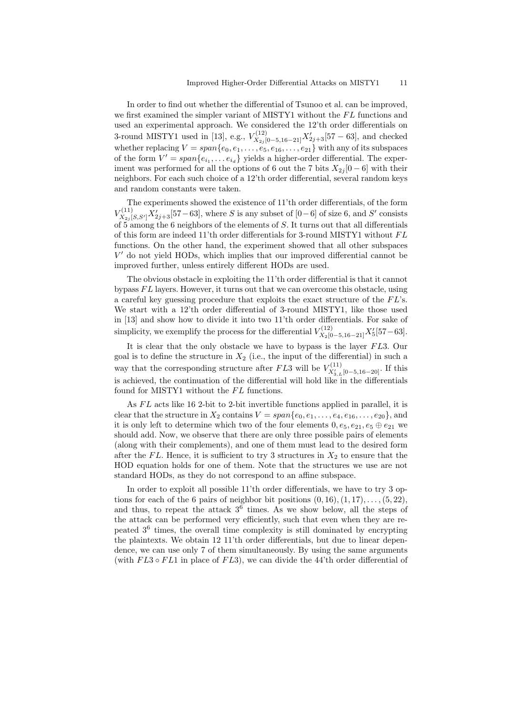In order to find out whether the differential of Tsunoo et al. can be improved, we first examined the simpler variant of MISTY1 without the  $FL$  functions and used an experimental approach. We considered the 12'th order differentials on 3-round MISTY1 used in [13], e.g.,  $V_{X_{2j}[0-5,16-21]}^{(12)}X_{2j+3}'[57-63]$ , and checked whether replacing  $V = span\{e_0, e_1, \ldots, e_5, e_{16}, \ldots, e_{21}\}\$  with any of its subspaces of the form  $V' = span{e_{i_1}, \ldots e_{i_d}}$  yields a higher-order differential. The experiment was performed for all the options of 6 out the 7 bits  $X_{2i}$  [0 – 6] with their neighbors. For each such choice of a 12'th order differential, several random keys and random constants were taken.

The experiments showed the existence of 11'th order differentials, of the form  $V^{(11)}_{X_{2j}[S,S']}X'_{2j+3}[57-63]$ , where S is any subset of  $[0-6]$  of size 6, and S' consists of 5 among the 6 neighbors of the elements of  $S$ . It turns out that all differentials of this form are indeed 11'th order differentials for 3-round MISTY1 without  $FL$ functions. On the other hand, the experiment showed that all other subspaces V 0 do not yield HODs, which implies that our improved differential cannot be improved further, unless entirely different HODs are used.

The obvious obstacle in exploiting the 11'th order differential is that it cannot bypass  $FL$  layers. However, it turns out that we can overcome this obstacle, using a careful key guessing procedure that exploits the exact structure of the  $FL$ 's. We start with a 12'th order differential of 3-round MISTY1, like those used in [13] and show how to divide it into two 11'th order differentials. For sake of simplicity, we exemplify the process for the differential  $V_{X_2[0-5,16-21]}^{(12)}X_5'[57-63]$ .

It is clear that the only obstacle we have to bypass is the layer  $FL3$ . Our goal is to define the structure in  $X_2$  (i.e., the input of the differential) in such a way that the corresponding structure after  $FL3$  will be  $V_{X'_{3,L}[0-5,16-20]}^{(11)}$ . If this is achieved, the continuation of the differential will hold like in the differentials found for MISTY1 without the  $FL$  functions.

As  $FL$  acts like 16 2-bit to 2-bit invertible functions applied in parallel, it is clear that the structure in  $X_2$  contains  $V = span\{e_0, e_1, \ldots, e_4, e_{16}, \ldots, e_{20}\}$ , and it is only left to determine which two of the four elements  $0, e_5, e_{21}, e_5 \oplus e_{21}$  we should add. Now, we observe that there are only three possible pairs of elements (along with their complements), and one of them must lead to the desired form after the FL. Hence, it is sufficient to try 3 structures in  $X_2$  to ensure that the HOD equation holds for one of them. Note that the structures we use are not standard HODs, as they do not correspond to an affine subspace.

In order to exploit all possible 11'th order differentials, we have to try 3 options for each of the 6 pairs of neighbor bit positions  $(0, 16), (1, 17), \ldots, (5, 22)$ , and thus, to repeat the attack  $3^6$  times. As we show below, all the steps of the attack can be performed very efficiently, such that even when they are repeated 3<sup>6</sup> times, the overall time complexity is still dominated by encrypting the plaintexts. We obtain 12 11'th order differentials, but due to linear dependence, we can use only 7 of them simultaneously. By using the same arguments (with  $FL3 \circ FL1$  in place of  $FL3$ ), we can divide the 44'th order differential of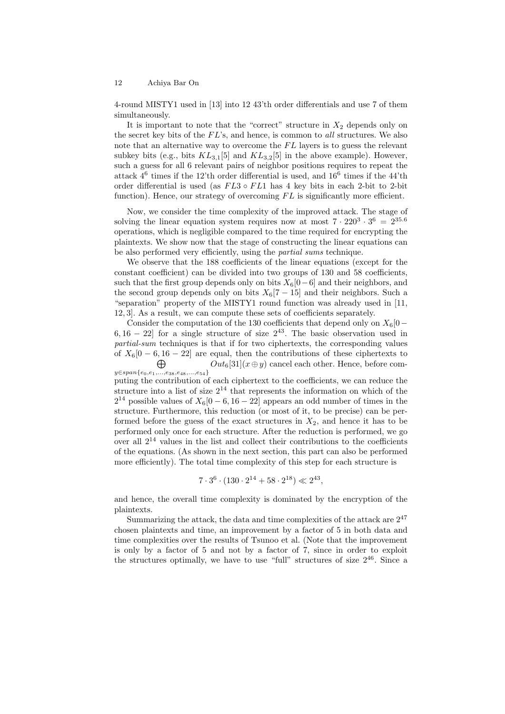4-round MISTY1 used in [13] into 12 43'th order differentials and use 7 of them simultaneously.

It is important to note that the "correct" structure in  $X_2$  depends only on the secret key bits of the  $FL$ 's, and hence, is common to all structures. We also note that an alternative way to overcome the  $FL$  layers is to guess the relevant subkey bits (e.g., bits  $KL_{3,1}[5]$  and  $KL_{3,2}[5]$  in the above example). However, such a guess for all 6 relevant pairs of neighbor positions requires to repeat the attack  $4^6$  times if the 12'th order differential is used, and  $16^6$  times if the 44'th order differential is used (as  $FL3 \circ FL1$  has 4 key bits in each 2-bit to 2-bit function). Hence, our strategy of overcoming  $FL$  is significantly more efficient.

Now, we consider the time complexity of the improved attack. The stage of solving the linear equation system requires now at most  $7 \cdot 220^3 \cdot 3^6 = 2^{35.6}$ operations, which is negligible compared to the time required for encrypting the plaintexts. We show now that the stage of constructing the linear equations can be also performed very efficiently, using the partial sums technique.

We observe that the 188 coefficients of the linear equations (except for the constant coefficient) can be divided into two groups of 130 and 58 coefficients, such that the first group depends only on bits  $X_6[0-6]$  and their neighbors, and the second group depends only on bits  $X_6[7-15]$  and their neighbors. Such a "separation" property of the MISTY1 round function was already used in [11, 12, 3]. As a result, we can compute these sets of coefficients separately.

Consider the computation of the 130 coefficients that depend only on  $X_6[0]$ 6,  $16 - 22$  for a single structure of size  $2^{43}$ . The basic observation used in partial-sum techniques is that if for two ciphertexts, the corresponding values of  $X_6[0-6, 16-22]$  are equal, then the contributions of these ciphertexts to  $\bigoplus$   $Out_6[31](x \oplus y)$  cancel each other. Hence, before com- $\bigoplus_{y \in span\{e_0, e_1, \ldots, e_{38}, e_{48}, \ldots, e_{54}\}}$  $Out_6[31](x \oplus y)$  cancel each other. Hence, before computing the contribution of each ciphertext to the coefficients, we can reduce the

structure into a list of size  $2^{14}$  that represents the information on which of the  $2^{14}$  possible values of  $X_6[0-6, 16-22]$  appears an odd number of times in the structure. Furthermore, this reduction (or most of it, to be precise) can be performed before the guess of the exact structures in  $X_2$ , and hence it has to be performed only once for each structure. After the reduction is performed, we go over all  $2^{14}$  values in the list and collect their contributions to the coefficients of the equations. (As shown in the next section, this part can also be performed more efficiently). The total time complexity of this step for each structure is

$$
7 \cdot 3^6 \cdot (130 \cdot 2^{14} + 58 \cdot 2^{18}) \ll 2^{43},
$$

and hence, the overall time complexity is dominated by the encryption of the plaintexts.

Summarizing the attack, the data and time complexities of the attack are  $2^{47}$ chosen plaintexts and time, an improvement by a factor of 5 in both data and time complexities over the results of Tsunoo et al. (Note that the improvement is only by a factor of 5 and not by a factor of 7, since in order to exploit the structures optimally, we have to use "full" structures of size  $2^{46}$ . Since a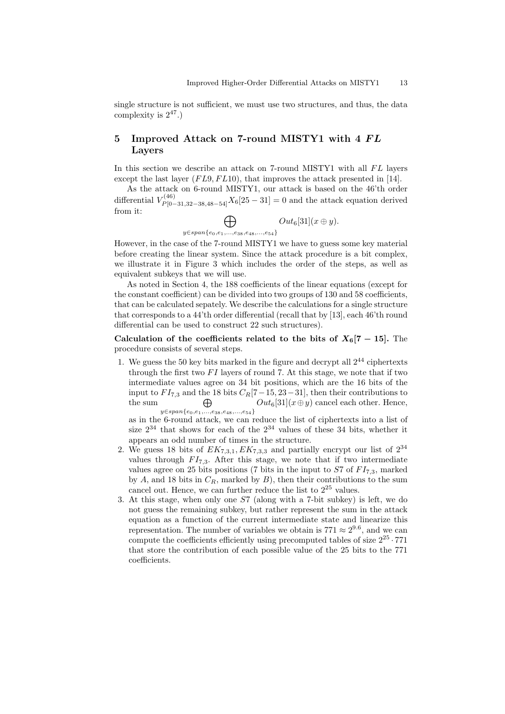single structure is not sufficient, we must use two structures, and thus, the data complexity is  $2^{47}$ .

# 5 Improved Attack on 7-round MISTY1 with 4 FL Layers

In this section we describe an attack on 7-round MISTY1 with all  $FL$  layers except the last layer  $(FL9, FL10)$ , that improves the attack presented in [14].

As the attack on 6-round MISTY1, our attack is based on the 46'th order differential  $V_{P[0-31,32-38,48-54]}^{(46)}X_6[25-31]=0$  and the attack equation derived from it:

 $\bigoplus$ y∈span{e0,e1,...,e38,e48,...,e54}  $Out_6[31](x \oplus y).$ 

However, in the case of the 7-round MISTY1 we have to guess some key material before creating the linear system. Since the attack procedure is a bit complex, we illustrate it in Figure 3 which includes the order of the steps, as well as equivalent subkeys that we will use.

As noted in Section 4, the 188 coefficients of the linear equations (except for the constant coefficient) can be divided into two groups of 130 and 58 coefficients, that can be calculated sepately. We describe the calculations for a single structure that corresponds to a 44'th order differential (recall that by [13], each 46'th round differential can be used to construct 22 such structures).

Calculation of the coefficients related to the bits of  $X_6[7-15]$ . The procedure consists of several steps.

1. We guess the 50 key bits marked in the figure and decrypt all  $2^{44}$  ciphertexts through the first two  $FI$  layers of round 7. At this stage, we note that if two intermediate values agree on 34 bit positions, which are the 16 bits of the input to  $FI_{7,3}$  and the 18 bits  $C_R[7-15, 23-31]$ , then their contributions to the sum  $\bigoplus$  $\bigoplus_{y\in span\{e_0,e_1,...,e_{38},e_{48},...,e_{54}\}} Out_6[31](x\oplus y)$  cancel each other. Hence,

as in the 6-round attack, we can reduce the list of ciphertexts into a list of size  $2^{34}$  that shows for each of the  $2^{34}$  values of these 34 bits, whether it appears an odd number of times in the structure.

- 2. We guess 18 bits of  $EK_{7,3,1}, EK_{7,3,3}$  and partially encrypt our list of  $2^{34}$ values through  $FI_{7,3}$ . After this stage, we note that if two intermediate values agree on 25 bits positions (7 bits in the input to  $ST$  of  $FI_{7,3}$ , marked by A, and 18 bits in  $C_R$ , marked by B), then their contributions to the sum cancel out. Hence, we can further reduce the list to 2<sup>25</sup> values.
- 3. At this stage, when only one S7 (along with a 7-bit subkey) is left, we do not guess the remaining subkey, but rather represent the sum in the attack equation as a function of the current intermediate state and linearize this representation. The number of variables we obtain is  $771 \approx 2^{9.6}$ , and we can compute the coefficients efficiently using precomputed tables of size  $2^{25} \cdot 771$ that store the contribution of each possible value of the 25 bits to the 771 coefficients.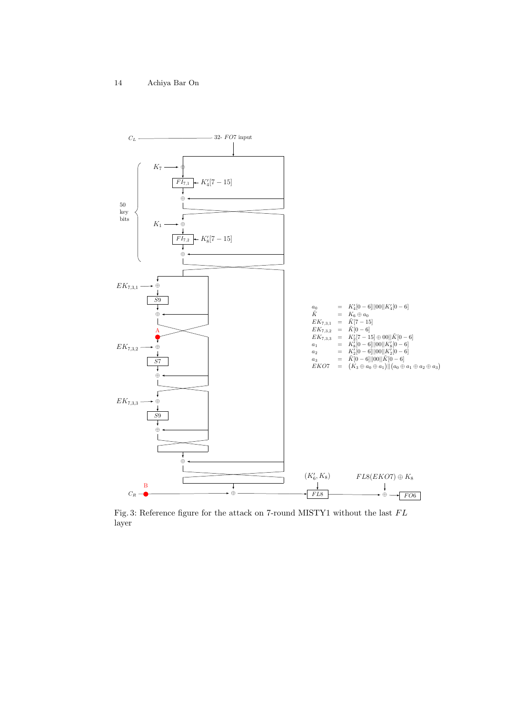

Fig. 3: Reference figure for the attack on 7-round MISTY1 without the last  ${\cal FL}$ layer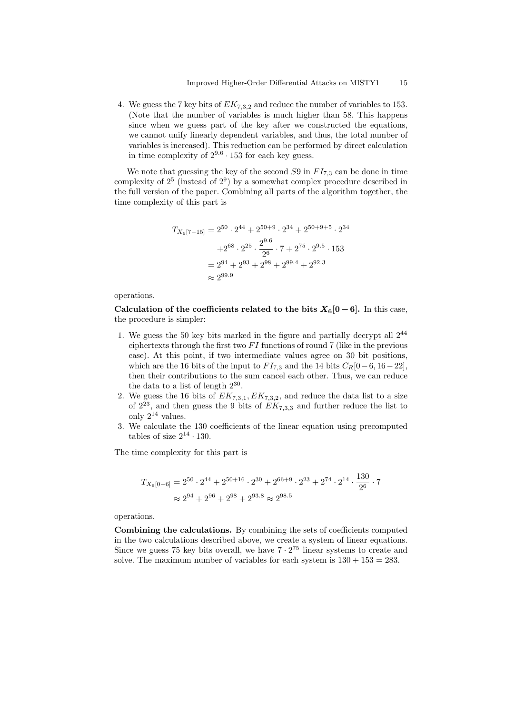4. We guess the 7 key bits of  $EK_{7,3,2}$  and reduce the number of variables to 153. (Note that the number of variables is much higher than 58. This happens since when we guess part of the key after we constructed the equations, we cannot unify linearly dependent variables, and thus, the total number of variables is increased). This reduction can be performed by direct calculation in time complexity of  $2^{9.6} \cdot 153$  for each key guess.

We note that guessing the key of the second  $S9$  in  $FI_{7,3}$  can be done in time complexity of  $2^5$  (instead of  $2^9$ ) by a somewhat complex procedure described in the full version of the paper. Combining all parts of the algorithm together, the time complexity of this part is

$$
T_{X_6[7-15]} = 2^{50} \cdot 2^{44} + 2^{50+9} \cdot 2^{34} + 2^{50+9+5} \cdot 2^{34}
$$

$$
+ 2^{68} \cdot 2^{25} \cdot \frac{2^{9.6}}{2^6} \cdot 7 + 2^{75} \cdot 2^{9.5} \cdot 153
$$

$$
= 2^{94} + 2^{93} + 2^{98} + 2^{99.4} + 2^{92.3}
$$

$$
\approx 2^{99.9}
$$

operations.

Calculation of the coefficients related to the bits  $X_6[0-6]$ . In this case, the procedure is simpler:

- 1. We guess the 50 key bits marked in the figure and partially decrypt all 2<sup>44</sup> ciphertexts through the first two  $FI$  functions of round 7 (like in the previous case). At this point, if two intermediate values agree on 30 bit positions, which are the 16 bits of the input to  $FI_{7,3}$  and the 14 bits  $C_R[0-6, 16-22]$ , then their contributions to the sum cancel each other. Thus, we can reduce the data to a list of length  $2^{30}$ .
- 2. We guess the 16 bits of  $EK_{7,3,1}, EK_{7,3,2}$ , and reduce the data list to a size of  $2^{23}$ , and then guess the 9 bits of  $EK_{7,3,3}$  and further reduce the list to only  $2^{14}$  values.
- 3. We calculate the 130 coefficients of the linear equation using precomputed tables of size  $2^{14} \cdot 130$ .

The time complexity for this part is

$$
T_{X_6[0-6]} = 2^{50} \cdot 2^{44} + 2^{50+16} \cdot 2^{30} + 2^{66+9} \cdot 2^{23} + 2^{74} \cdot 2^{14} \cdot \frac{130}{2^6} \cdot 7
$$
  

$$
\approx 2^{94} + 2^{96} + 2^{98} + 2^{93.8} \approx 2^{98.5}
$$

operations.

Combining the calculations. By combining the sets of coefficients computed in the two calculations described above, we create a system of linear equations. Since we guess 75 key bits overall, we have  $7 \cdot 2^{75}$  linear systems to create and solve. The maximum number of variables for each system is  $130 + 153 = 283$ .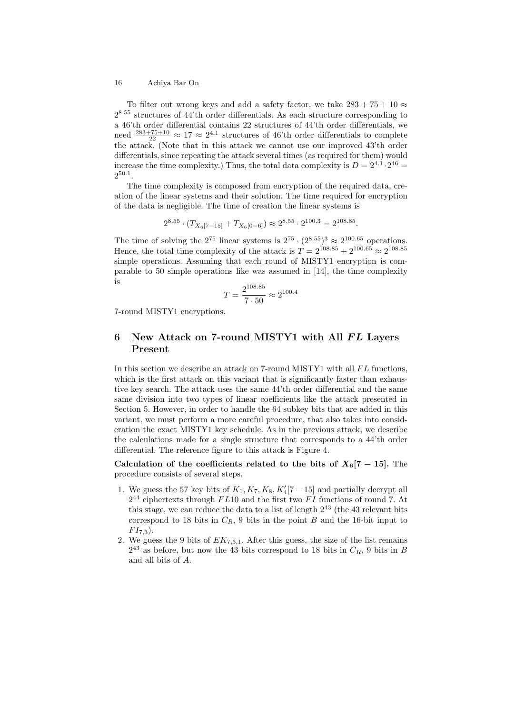To filter out wrong keys and add a safety factor, we take  $283 + 75 + 10 \approx$ 2 <sup>8</sup>.<sup>55</sup> structures of 44'th order differentials. As each structure corresponding to a 46'th order differential contains 22 structures of 44'th order differentials, we need  $\frac{283+75+10}{22} \approx 17 \approx 2^{4.1}$  structures of 46'th order differentials to complete the attack. (Note that in this attack we cannot use our improved 43'th order differentials, since repeating the attack several times (as required for them) would increase the time complexity.) Thus, the total data complexity is  $D = 2^{4.1} \cdot 2^{46} =$  $2^{50.1}$ .

The time complexity is composed from encryption of the required data, creation of the linear systems and their solution. The time required for encryption of the data is negligible. The time of creation the linear systems is

$$
2^{8.55} \cdot (T_{X_6[7-15]} + T_{X_6[0-6]}) \approx 2^{8.55} \cdot 2^{100.3} = 2^{108.85}.
$$

The time of solving the  $2^{75}$  linear systems is  $2^{75} \cdot (2^{8.55})^3 \approx 2^{100.65}$  operations. Hence, the total time complexity of the attack is  $T = 2^{108.85} + 2^{100.65} \approx 2^{108.85}$ simple operations. Assuming that each round of MISTY1 encryption is comparable to 50 simple operations like was assumed in [14], the time complexity is

$$
T = \frac{2^{108.85}}{7 \cdot 50} \approx 2^{100.4}
$$

7-round MISTY1 encryptions.

### 6 New Attack on 7-round MISTY1 with All FL Layers Present

In this section we describe an attack on 7-round MISTY1 with all  $FL$  functions, which is the first attack on this variant that is significantly faster than exhaustive key search. The attack uses the same 44'th order differential and the same same division into two types of linear coefficients like the attack presented in Section 5. However, in order to handle the 64 subkey bits that are added in this variant, we must perform a more careful procedure, that also takes into consideration the exact MISTY1 key schedule. As in the previous attack, we describe the calculations made for a single structure that corresponds to a 44'th order differential. The reference figure to this attack is Figure 4.

Calculation of the coefficients related to the bits of  $X_6[7-15]$ . The procedure consists of several steps.

- 1. We guess the 57 key bits of  $K_1, K_7, K_8, K_4'[7-15]$  and partially decrypt all  $2^{44}$  ciphertexts through  $FL10$  and the first two  $FI$  functions of round 7. At this stage, we can reduce the data to a list of length  $2^{43}$  (the 43 relevant bits correspond to 18 bits in  $C_R$ , 9 bits in the point B and the 16-bit input to  $FI_{7,3}$ ).
- 2. We guess the 9 bits of  $EK_{7,3,1}$ . After this guess, the size of the list remains  $2^{43}$  as before, but now the 43 bits correspond to 18 bits in  $C_R$ , 9 bits in B and all bits of A.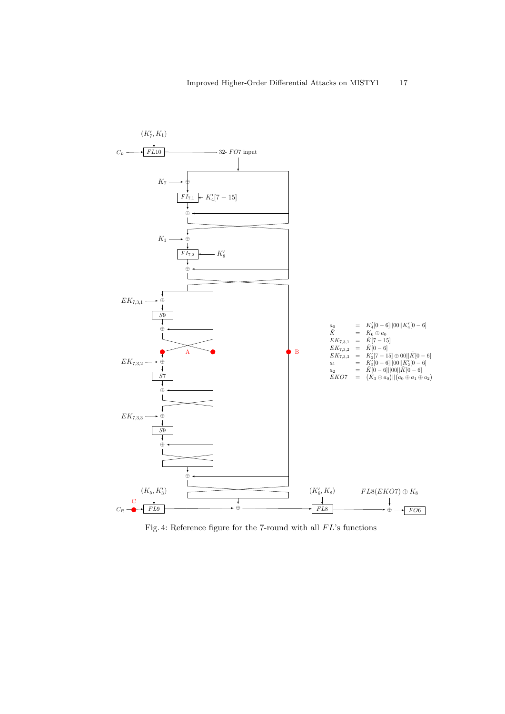

Fig. 4: Reference figure for the 7-round with all  $FL$ 's functions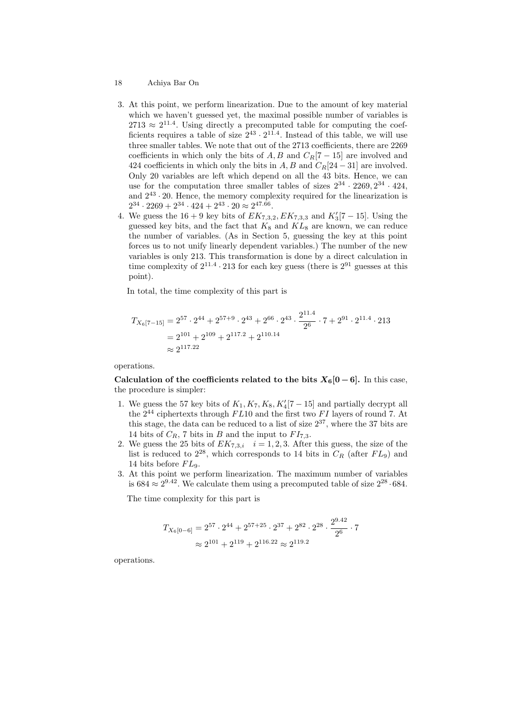- 18 Achiya Bar On
- 3. At this point, we perform linearization. Due to the amount of key material which we haven't guessed yet, the maximal possible number of variables is  $2713 \approx 2^{11.4}$ . Using directly a precomputed table for computing the coefficients requires a table of size  $2^{43} \cdot 2^{11.4}$ . Instead of this table, we will use three smaller tables. We note that out of the 2713 coefficients, there are 2269 coefficients in which only the bits of  $A, B$  and  $C_R[7-15]$  are involved and 424 coefficients in which only the bits in  $A, B$  and  $C_R[24-31]$  are involved. Only 20 variables are left which depend on all the 43 bits. Hence, we can use for the computation three smaller tables of sizes  $2^{34} \cdot 2269$ ,  $2^{34} \cdot 424$ , and  $2^{43} \cdot 20$ . Hence, the memory complexity required for the linearization is  $2^{34} \cdot 2269 + 2^{34} \cdot 424 + 2^{43} \cdot 20 \approx 2^{47.66}$ .
- 4. We guess the  $16 + 9$  key bits of  $EK_{7,3,2}, EK_{7,3,3}$  and  $K_3'[7-15]$ . Using the guessed key bits, and the fact that  $K_8$  and  $KL_8$  are known, we can reduce the number of variables. (As in Section 5, guessing the key at this point forces us to not unify linearly dependent variables.) The number of the new variables is only 213. This transformation is done by a direct calculation in time complexity of  $2^{11.4} \cdot 213$  for each key guess (there is  $2^{91}$  guesses at this point).

In total, the time complexity of this part is

$$
T_{X_6[7-15]} = 2^{57} \cdot 2^{44} + 2^{57+9} \cdot 2^{43} + 2^{66} \cdot 2^{43} \cdot \frac{2^{11.4}}{2^6} \cdot 7 + 2^{91} \cdot 2^{11.4} \cdot 213
$$
  
=  $2^{101} + 2^{109} + 2^{117.2} + 2^{110.14}$   
 $\approx 2^{117.22}$ 

operations.

Calculation of the coefficients related to the bits  $X_6[0-6]$ . In this case, the procedure is simpler:

- 1. We guess the 57 key bits of  $K_1, K_7, K_8, K_4'[7-15]$  and partially decrypt all the  $2^{44}$  ciphertexts through  $FL10$  and the first two  $FI$  layers of round 7. At this stage, the data can be reduced to a list of size  $2^{37}$ , where the 37 bits are 14 bits of  $C_R$ , 7 bits in B and the input to  $FI_{7,3}$ .
- 2. We guess the 25 bits of  $EK_{7,3,i}$   $i = 1,2,3$ . After this guess, the size of the list is reduced to  $2^{28}$ , which corresponds to 14 bits in  $C_R$  (after  $FL_9$ ) and 14 bits before  $FL_9$ .
- 3. At this point we perform linearization. The maximum number of variables is  $684 \approx 2^{9.42}$ . We calculate them using a precomputed table of size  $2^{28} \cdot 684$ .

The time complexity for this part is

$$
T_{X_6[0-6]} = 2^{57} \cdot 2^{44} + 2^{57+25} \cdot 2^{37} + 2^{82} \cdot 2^{28} \cdot \frac{2^{9.42}}{2^6} \cdot 7
$$
  

$$
\approx 2^{101} + 2^{119} + 2^{116.22} \approx 2^{119.2}
$$

operations.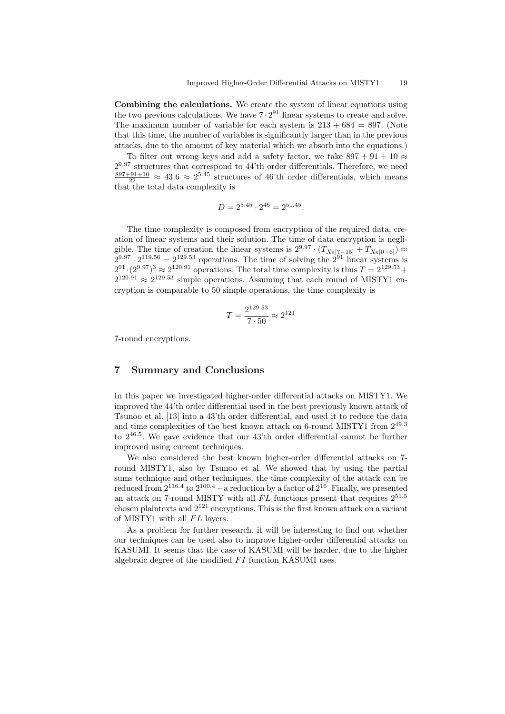Combining the calculations. We create the system of linear equations using the two previous calculations. We have  $7 \cdot 2^{91}$  linear systems to create and solve. The maximum number of variable for each system is  $213 + 684 = 897$ . (Note that this time, the number of variables is significantly larger than in the previous attacks, due to the amount of key material which we absorb into the equations.)

To filter out wrong keys and add a safety factor, we take  $897 + 91 + 10 \approx$  $2^{9.97}$  structures that correspond to 44'th order differentials. Therefore, we need  $\frac{897+91+10}{22} \approx 43.6 \approx 2^{5.45}$  structures of 46'th order differentials, which means that the total data complexity is

$$
D = 2^{5.45} \cdot 2^{46} = 2^{51.45}.
$$

The time complexity is composed from encryption of the required data, creation of linear systems and their solution. The time of data encryption is negligible. The time of creation the linear systems is  $2^{9.97} \cdot (T_{X_6[7-15]} + T_{X_6[0-6]}) \approx$  $2^{9.97} \cdot 2^{119.56} = 2^{129.53}$  operations. The time of solving the  $2^{91}$  linear systems is  $2^{91} \cdot (2^{9.97})^3 \approx 2^{120.91}$  operations. The total time complexity is thus  $T = 2^{129.53} +$  $2^{120.91} \approx 2^{129.53}$  simple operations. Assuming that each round of MISTY1 encryption is comparable to 50 simple operations, the time complexity is

$$
T = \frac{2^{129.53}}{7 \cdot 50} \approx 2^{121}
$$

7-round encryptions.

### 7 Summary and Conclusions

In this paper we investigated higher-order differential attacks on MISTY1. We improved the 44'th order differential used in the best previously known attack of Tsunoo et al. [13] into a 43'th order differential, and used it to reduce the data and time complexities of the best known attack on 6-round MISTY1 from 2<sup>49</sup>.<sup>3</sup> to 2<sup>46</sup>.<sup>5</sup> . We gave evidence that our 43'th order differential cannot be further improved using current techniques.

We also considered the best known higher-order differential attacks on 7 round MISTY1, also by Tsunoo et al. We showed that by using the partial sums technique and other techniques, the time complexity of the attack can be reduced from  $2^{116.4}$  to  $2^{100.4}$  – a reduction by a factor of  $2^{16}$ . Finally, we presented an attack on 7-round MISTY with all  $FL$  functions present that requires  $2^{51.5}$ chosen plaintexts and  $2^{121}$  encryptions. This is the first known attack on a variant of MISTY1 with all  $FL$  layers.

As a problem for further research, it will be interesting to find out whether our techniques can be used also to improve higher-order differential attacks on KASUMI. It seems that the case of KASUMI will be harder, due to the higher algebraic degree of the modified  $FI$  function KASUMI uses.